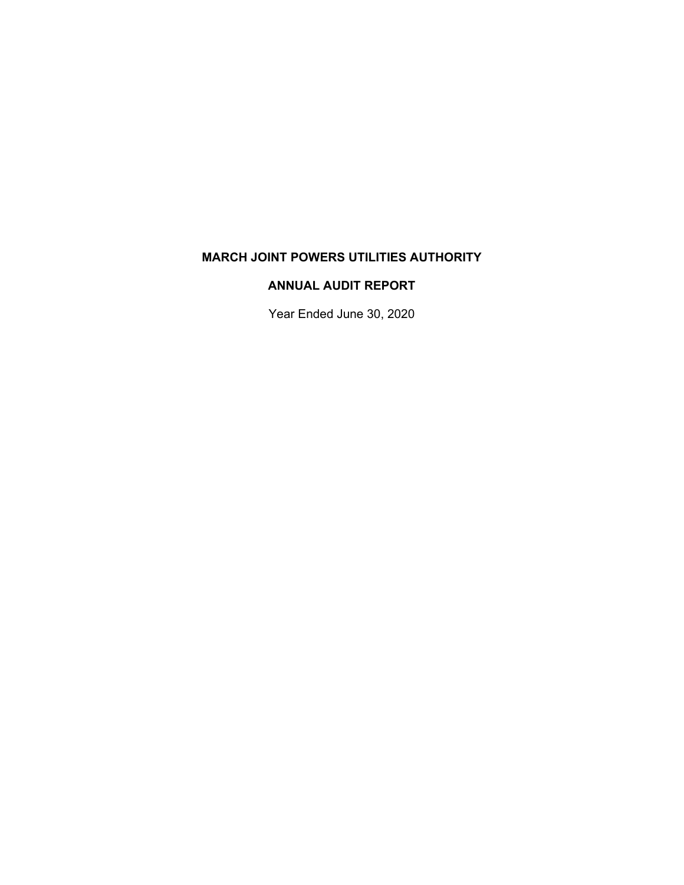# **ANNUAL AUDIT REPORT**

Year Ended June 30, 2020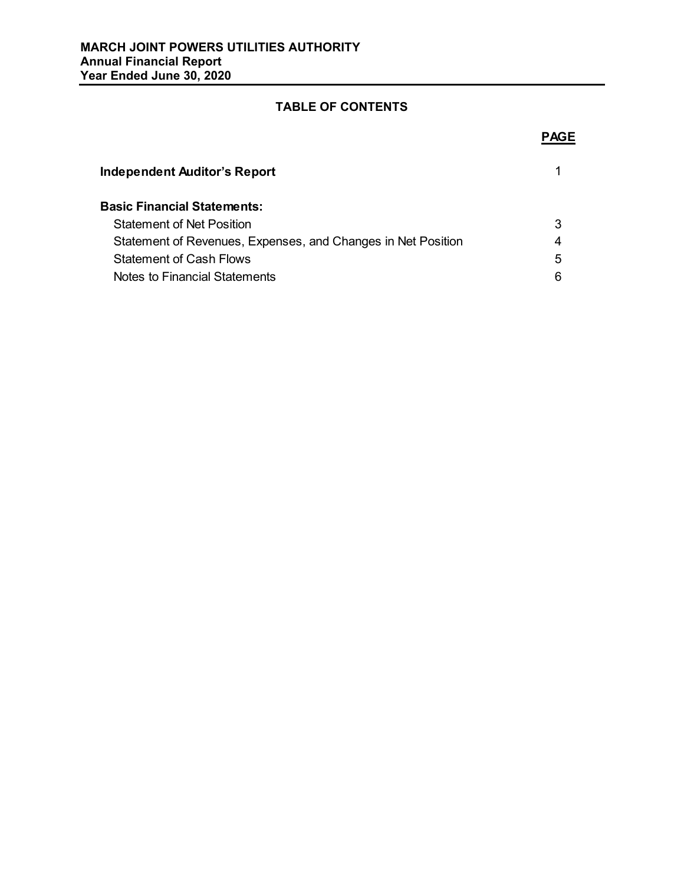# **TABLE OF CONTENTS**

| <b>Independent Auditor's Report</b>                          |   |
|--------------------------------------------------------------|---|
| <b>Basic Financial Statements:</b>                           |   |
| Statement of Net Position                                    | 3 |
| Statement of Revenues, Expenses, and Changes in Net Position | 4 |
| <b>Statement of Cash Flows</b>                               | 5 |
| Notes to Financial Statements                                | 6 |
|                                                              |   |

# **PAGE**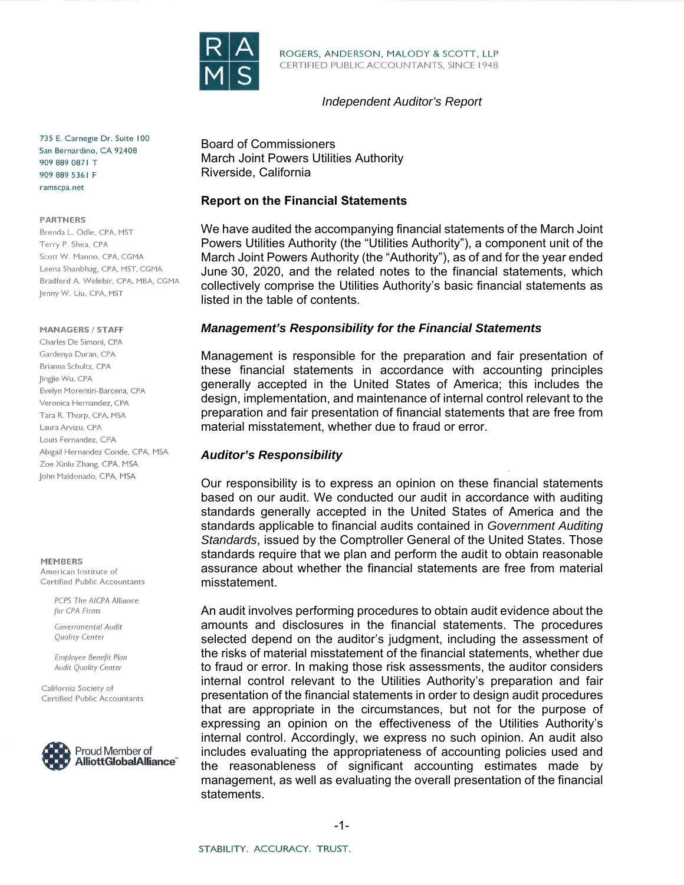

ROGERS, ANDERSON, MALODY & SCOTT, LLP CERTIFIED PUBLIC ACCOUNTANTS, SINCE 1948

#### *Independent Auditor's Report*

735 E. Carnegie Dr. Suite 100 San Bernardino, CA 92408 909 889 0871 T 909 889 5361 F ramscpa.net

#### **PARTNERS**

Brenda L. Odle, CPA, MST Terry P. Shea, CPA Scott W. Manno, CPA, CGMA Leena Shanbhag, CPA, MST, CGMA Bradferd A. Welebir, CPA, MBA, CGMA Jenny W. Liu. CPA, MST

#### **MANAGERS / STAFF**

Charles De Simoni, CPA Gardenya Duran, CPA Brianna Schultz, CPA lingjie Wu, CPA Evelyn Morentin-Barcena, CPA Veronica Hernandez, CPA Tara R. Thorp, CPA, MSA Laura Arvizu, CPA Louis Fernandez, CPA Abigail Hernandez Conde, CPA, MSA Zoe Xinlu Zhang, CPA, MSA John Maldonado, CPA, MSA

#### **MEMBERS**

American Institute of Certified Public Accountants

> PCPS The AICPA Alliance for CPA Firms

Governmental Audit Quality Center

Employee Benefit Plan **Audit Quality Center** 

California Society of Certified Public Accountants



Board of Commissioners March Joint Powers Utilities Authority Riverside, California

#### **Report on the Financial Statements**

We have audited the accompanying financial statements of the March Joint Powers Utilities Authority (the "Utilities Authority"), a component unit of the March Joint Powers Authority (the "Authority"), as of and for the year ended June 30, 2020, and the related notes to the financial statements, which collectively comprise the Utilities Authority's basic financial statements as listed in the table of contents.

#### *Management's Responsibility for the Financial Statements*

Management is responsible for the preparation and fair presentation of these financial statements in accordance with accounting principles generally accepted in the United States of America; this includes the design, implementation, and maintenance of internal control relevant to the preparation and fair presentation of financial statements that are free from material misstatement, whether due to fraud or error.

# *Auditor's Responsibility*

Our responsibility is to express an opinion on these financial statements based on our audit. We conducted our audit in accordance with auditing standards generally accepted in the United States of America and the standards applicable to financial audits contained in *Government Auditing Standards*, issued by the Comptroller General of the United States. Those standards require that we plan and perform the audit to obtain reasonable assurance about whether the financial statements are free from material misstatement.

An audit involves performing procedures to obtain audit evidence about the amounts and disclosures in the financial statements. The procedures selected depend on the auditor's judgment, including the assessment of the risks of material misstatement of the financial statements, whether due to fraud or error. In making those risk assessments, the auditor considers internal control relevant to the Utilities Authority's preparation and fair presentation of the financial statements in order to design audit procedures that are appropriate in the circumstances, but not for the purpose of expressing an opinion on the effectiveness of the Utilities Authority's internal control. Accordingly, we express no such opinion. An audit also includes evaluating the appropriateness of accounting policies used and the reasonableness of significant accounting estimates made by management, as well as evaluating the overall presentation of the financial statements.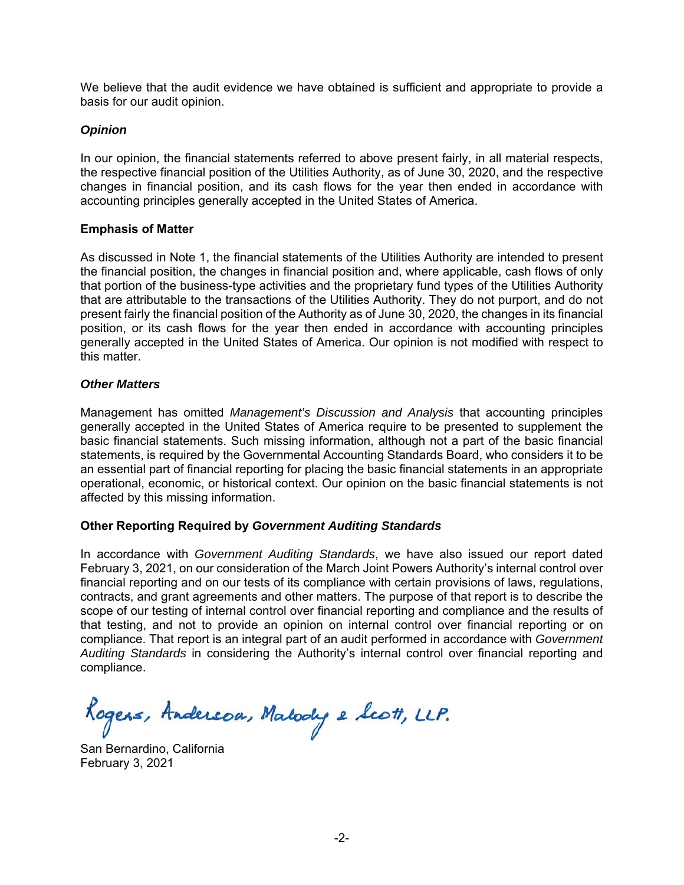We believe that the audit evidence we have obtained is sufficient and appropriate to provide a basis for our audit opinion.

# *Opinion*

In our opinion, the financial statements referred to above present fairly, in all material respects, the respective financial position of the Utilities Authority, as of June 30, 2020, and the respective changes in financial position, and its cash flows for the year then ended in accordance with accounting principles generally accepted in the United States of America.

# **Emphasis of Matter**

As discussed in Note 1, the financial statements of the Utilities Authority are intended to present the financial position, the changes in financial position and, where applicable, cash flows of only that portion of the business-type activities and the proprietary fund types of the Utilities Authority that are attributable to the transactions of the Utilities Authority. They do not purport, and do not present fairly the financial position of the Authority as of June 30, 2020, the changes in its financial position, or its cash flows for the year then ended in accordance with accounting principles generally accepted in the United States of America. Our opinion is not modified with respect to this matter.

# *Other Matters*

Management has omitted *Management's Discussion and Analysis* that accounting principles generally accepted in the United States of America require to be presented to supplement the basic financial statements. Such missing information, although not a part of the basic financial statements, is required by the Governmental Accounting Standards Board, who considers it to be an essential part of financial reporting for placing the basic financial statements in an appropriate operational, economic, or historical context. Our opinion on the basic financial statements is not affected by this missing information.

# **Other Reporting Required by** *Government Auditing Standards*

In accordance with *Government Auditing Standards*, we have also issued our report dated February 3, 2021, on our consideration of the March Joint Powers Authority's internal control over financial reporting and on our tests of its compliance with certain provisions of laws, regulations, contracts, and grant agreements and other matters. The purpose of that report is to describe the scope of our testing of internal control over financial reporting and compliance and the results of that testing, and not to provide an opinion on internal control over financial reporting or on compliance. That report is an integral part of an audit performed in accordance with *Government Auditing Standards* in considering the Authority's internal control over financial reporting and compliance.

Rogers, Andereou, Malody e Scott, LLP.

San Bernardino, California February 3, 2021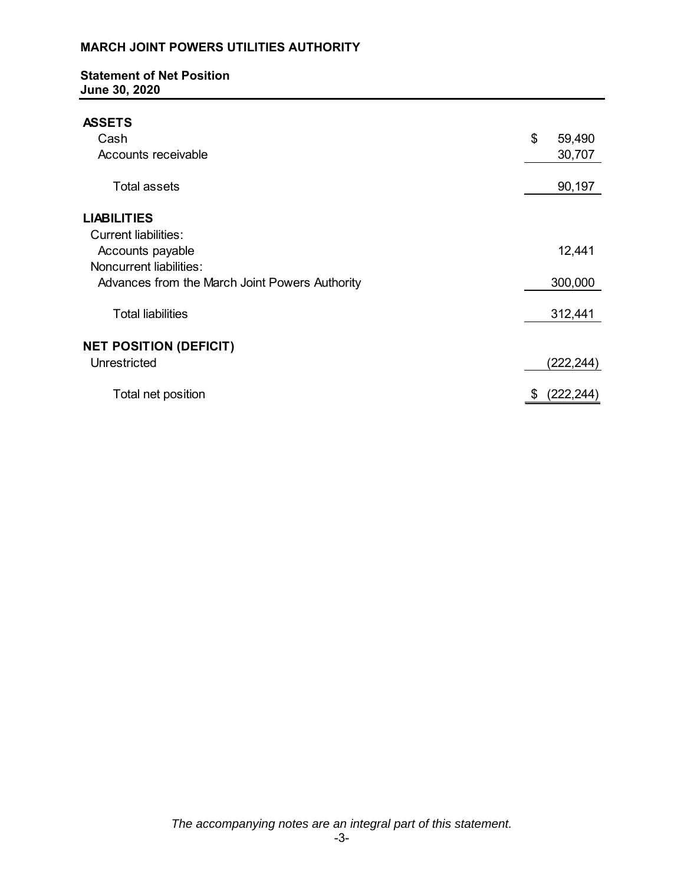# **Statement of Net Position June 30, 2020**

| <b>ASSETS</b>                                  |              |
|------------------------------------------------|--------------|
| Cash                                           | \$<br>59,490 |
| Accounts receivable                            | 30,707       |
| <b>Total assets</b>                            | 90,197       |
| <b>LIABILITIES</b>                             |              |
| <b>Current liabilities:</b>                    |              |
| Accounts payable                               | 12,441       |
| Noncurrent liabilities:                        |              |
| Advances from the March Joint Powers Authority | 300,000      |
|                                                |              |
| <b>Total liabilities</b>                       | 312,441      |
| <b>NET POSITION (DEFICIT)</b>                  |              |
| Unrestricted                                   | (222,244)    |
| Total net position                             | (222,244     |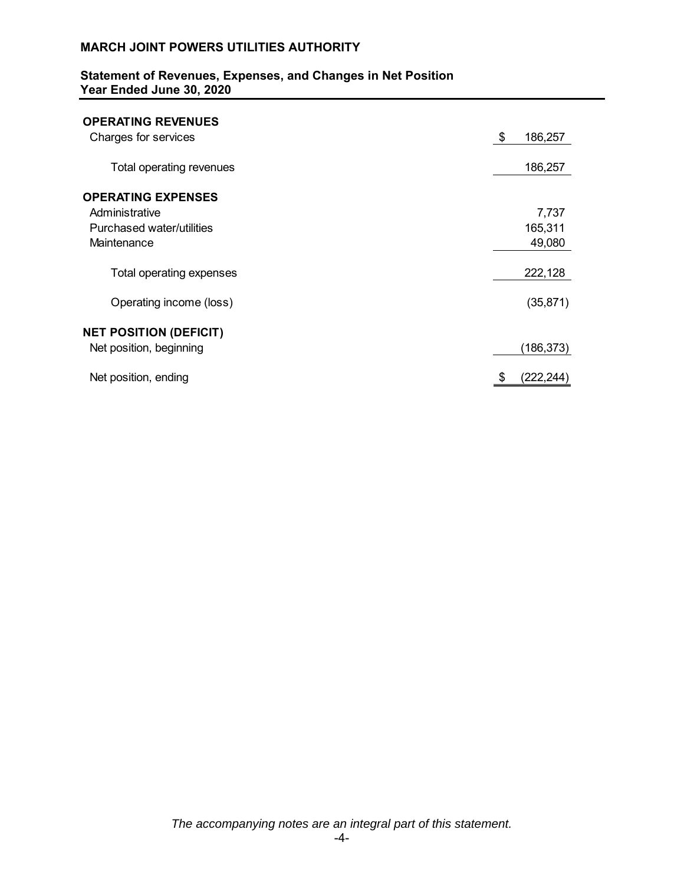#### **Statement of Revenues, Expenses, and Changes in Net Position Year Ended June 30, 2020**

| <b>OPERATING REVENUES</b>     |                 |
|-------------------------------|-----------------|
| Charges for services          | 186,257<br>\$   |
| Total operating revenues      | 186,257         |
|                               |                 |
| <b>OPERATING EXPENSES</b>     |                 |
| Administrative                | 7,737           |
| Purchased water/utilities     | 165,311         |
| Maintenance                   | 49,080          |
| Total operating expenses      | 222,128         |
| Operating income (loss)       | (35, 871)       |
| <b>NET POSITION (DEFICIT)</b> |                 |
| Net position, beginning       | (186, 373)      |
| Net position, ending          | \$<br>(222,244) |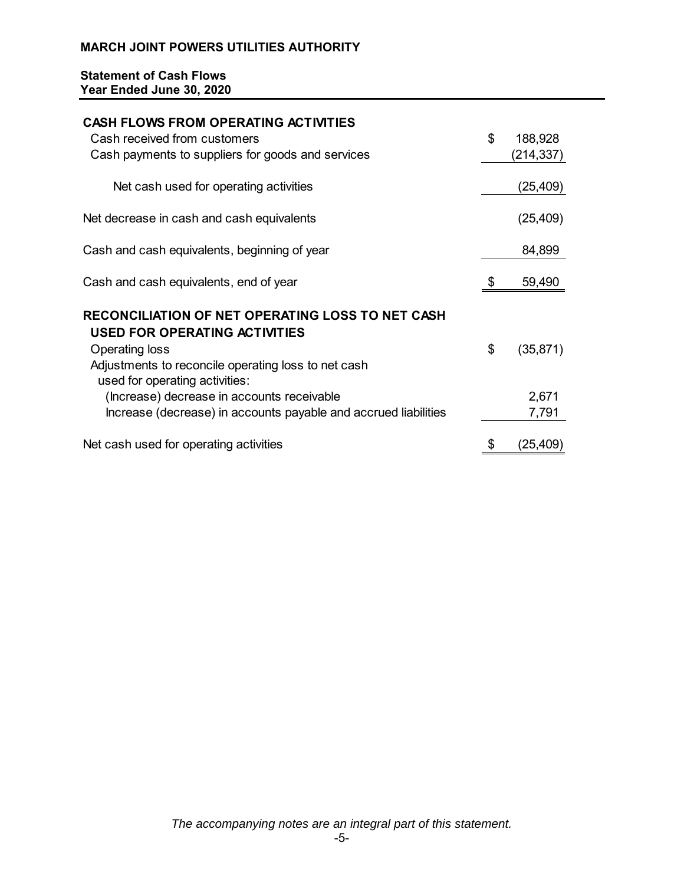# **Statement of Cash Flows Year Ended June 30, 2020**

| <b>CASH FLOWS FROM OPERATING ACTIVITIES</b>                                                                   |                 |
|---------------------------------------------------------------------------------------------------------------|-----------------|
| Cash received from customers                                                                                  | \$<br>188,928   |
| Cash payments to suppliers for goods and services                                                             | (214,337)       |
| Net cash used for operating activities                                                                        | (25,409)        |
| Net decrease in cash and cash equivalents                                                                     | (25, 409)       |
| Cash and cash equivalents, beginning of year                                                                  | 84,899          |
| Cash and cash equivalents, end of year                                                                        | 59,490          |
| <b>RECONCILIATION OF NET OPERATING LOSS TO NET CASH</b><br><b>USED FOR OPERATING ACTIVITIES</b>               |                 |
| Operating loss<br>Adjustments to reconcile operating loss to net cash<br>used for operating activities:       | \$<br>(35, 871) |
| (Increase) decrease in accounts receivable<br>Increase (decrease) in accounts payable and accrued liabilities | 2,671<br>7,791  |
| Net cash used for operating activities                                                                        | (25,409)        |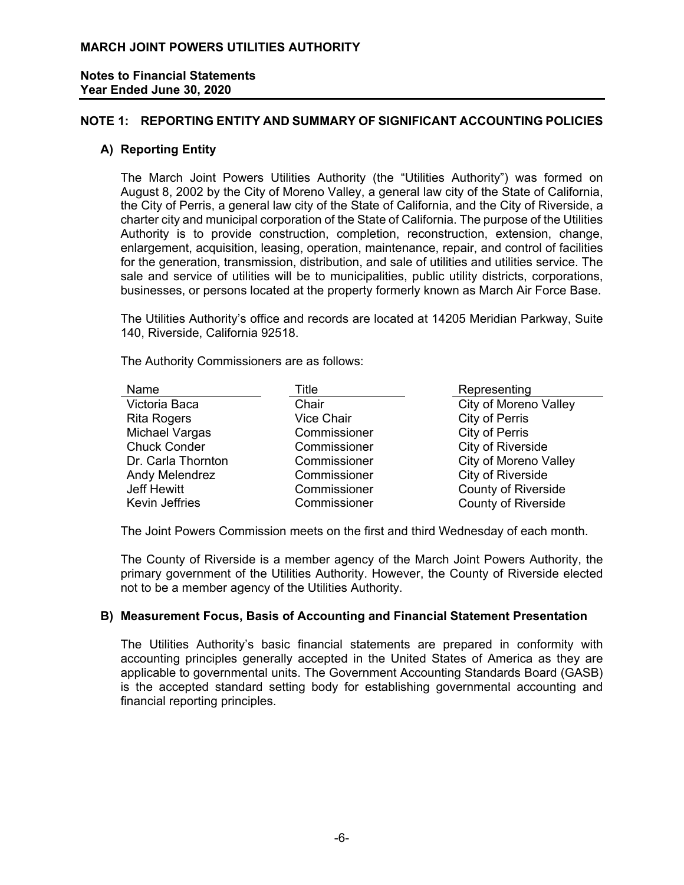#### **Notes to Financial Statements Year Ended June 30, 2020**

# **NOTE 1: REPORTING ENTITY AND SUMMARY OF SIGNIFICANT ACCOUNTING POLICIES**

#### **A) Reporting Entity**

The March Joint Powers Utilities Authority (the "Utilities Authority") was formed on August 8, 2002 by the City of Moreno Valley, a general law city of the State of California, the City of Perris, a general law city of the State of California, and the City of Riverside, a charter city and municipal corporation of the State of California. The purpose of the Utilities Authority is to provide construction, completion, reconstruction, extension, change, enlargement, acquisition, leasing, operation, maintenance, repair, and control of facilities for the generation, transmission, distribution, and sale of utilities and utilities service. The sale and service of utilities will be to municipalities, public utility districts, corporations, businesses, or persons located at the property formerly known as March Air Force Base.

The Utilities Authority's office and records are located at 14205 Meridian Parkway, Suite 140, Riverside, California 92518.

The Authority Commissioners are as follows:

| Name                  | Title             | Representing               |
|-----------------------|-------------------|----------------------------|
| Victoria Baca         | Chair             | City of Moreno Valley      |
| <b>Rita Rogers</b>    | <b>Vice Chair</b> | City of Perris             |
| Michael Vargas        | Commissioner      | City of Perris             |
| <b>Chuck Conder</b>   | Commissioner      | City of Riverside          |
| Dr. Carla Thornton    | Commissioner      | City of Moreno Valley      |
| Andy Melendrez        | Commissioner      | City of Riverside          |
| Jeff Hewitt           | Commissioner      | <b>County of Riverside</b> |
| <b>Kevin Jeffries</b> | Commissioner      | <b>County of Riverside</b> |

The Joint Powers Commission meets on the first and third Wednesday of each month.

The County of Riverside is a member agency of the March Joint Powers Authority, the primary government of the Utilities Authority. However, the County of Riverside elected not to be a member agency of the Utilities Authority.

#### **B) Measurement Focus, Basis of Accounting and Financial Statement Presentation**

The Utilities Authority's basic financial statements are prepared in conformity with accounting principles generally accepted in the United States of America as they are applicable to governmental units. The Government Accounting Standards Board (GASB) is the accepted standard setting body for establishing governmental accounting and financial reporting principles.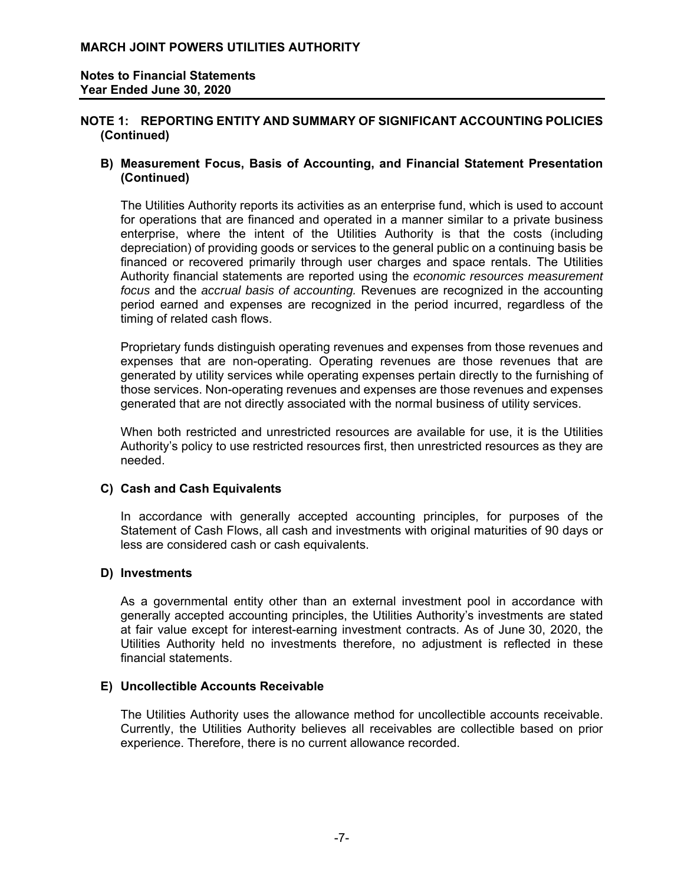#### **NOTE 1: REPORTING ENTITY AND SUMMARY OF SIGNIFICANT ACCOUNTING POLICIES (Continued)**

#### **B) Measurement Focus, Basis of Accounting, and Financial Statement Presentation (Continued)**

The Utilities Authority reports its activities as an enterprise fund, which is used to account for operations that are financed and operated in a manner similar to a private business enterprise, where the intent of the Utilities Authority is that the costs (including depreciation) of providing goods or services to the general public on a continuing basis be financed or recovered primarily through user charges and space rentals. The Utilities Authority financial statements are reported using the *economic resources measurement focus* and the *accrual basis of accounting.* Revenues are recognized in the accounting period earned and expenses are recognized in the period incurred, regardless of the timing of related cash flows.

Proprietary funds distinguish operating revenues and expenses from those revenues and expenses that are non-operating. Operating revenues are those revenues that are generated by utility services while operating expenses pertain directly to the furnishing of those services. Non-operating revenues and expenses are those revenues and expenses generated that are not directly associated with the normal business of utility services.

When both restricted and unrestricted resources are available for use, it is the Utilities Authority's policy to use restricted resources first, then unrestricted resources as they are needed.

# **C) Cash and Cash Equivalents**

In accordance with generally accepted accounting principles, for purposes of the Statement of Cash Flows, all cash and investments with original maturities of 90 days or less are considered cash or cash equivalents.

#### **D) Investments**

As a governmental entity other than an external investment pool in accordance with generally accepted accounting principles, the Utilities Authority's investments are stated at fair value except for interest-earning investment contracts. As of June 30, 2020, the Utilities Authority held no investments therefore, no adjustment is reflected in these financial statements.

#### **E) Uncollectible Accounts Receivable**

The Utilities Authority uses the allowance method for uncollectible accounts receivable. Currently, the Utilities Authority believes all receivables are collectible based on prior experience. Therefore, there is no current allowance recorded.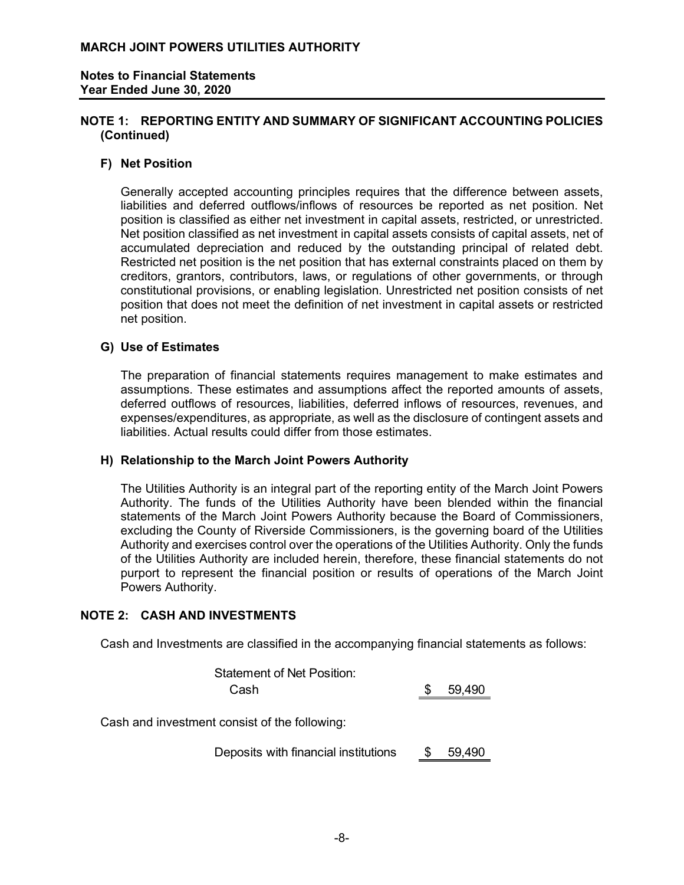#### **NOTE 1: REPORTING ENTITY AND SUMMARY OF SIGNIFICANT ACCOUNTING POLICIES (Continued)**

#### **F) Net Position**

Generally accepted accounting principles requires that the difference between assets, liabilities and deferred outflows/inflows of resources be reported as net position. Net position is classified as either net investment in capital assets, restricted, or unrestricted. Net position classified as net investment in capital assets consists of capital assets, net of accumulated depreciation and reduced by the outstanding principal of related debt. Restricted net position is the net position that has external constraints placed on them by creditors, grantors, contributors, laws, or regulations of other governments, or through constitutional provisions, or enabling legislation. Unrestricted net position consists of net position that does not meet the definition of net investment in capital assets or restricted net position.

#### **G) Use of Estimates**

The preparation of financial statements requires management to make estimates and assumptions. These estimates and assumptions affect the reported amounts of assets, deferred outflows of resources, liabilities, deferred inflows of resources, revenues, and expenses/expenditures, as appropriate, as well as the disclosure of contingent assets and liabilities. Actual results could differ from those estimates.

#### **H) Relationship to the March Joint Powers Authority**

The Utilities Authority is an integral part of the reporting entity of the March Joint Powers Authority. The funds of the Utilities Authority have been blended within the financial statements of the March Joint Powers Authority because the Board of Commissioners, excluding the County of Riverside Commissioners, is the governing board of the Utilities Authority and exercises control over the operations of the Utilities Authority. Only the funds of the Utilities Authority are included herein, therefore, these financial statements do not purport to represent the financial position or results of operations of the March Joint Powers Authority.

#### **NOTE 2: CASH AND INVESTMENTS**

Cash and Investments are classified in the accompanying financial statements as follows:

| \$59,490 |
|----------|
|          |

Cash and investment consist of the following:

Deposits with financial institutions  $$59,490$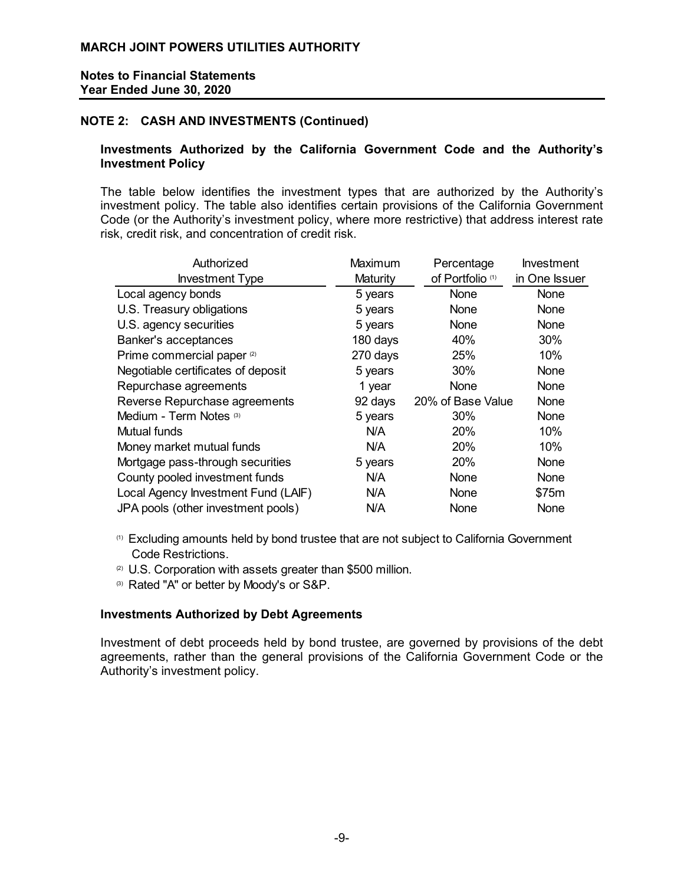### **NOTE 2: CASH AND INVESTMENTS (Continued)**

#### **Investments Authorized by the California Government Code and the Authority's Investment Policy**

The table below identifies the investment types that are authorized by the Authority's investment policy. The table also identifies certain provisions of the California Government Code (or the Authority's investment policy, where more restrictive) that address interest rate risk, credit risk, and concentration of credit risk.

| Authorized                            | Maximum  | Percentage                  | <b>Investment</b> |
|---------------------------------------|----------|-----------------------------|-------------------|
| <b>Investment Type</b>                | Maturity | of Portfolio <sup>(1)</sup> | in One Issuer     |
| Local agency bonds                    | 5 years  | None                        | None              |
| U.S. Treasury obligations             | 5 years  | None                        | None              |
| U.S. agency securities                | 5 years  | None                        | None              |
| Banker's acceptances                  | 180 days | 40%                         | 30%               |
| Prime commercial paper <sup>(2)</sup> | 270 days | 25%                         | 10%               |
| Negotiable certificates of deposit    | 5 years  | 30%                         | None              |
| Repurchase agreements                 | 1 year   | None                        | None              |
| Reverse Repurchase agreements         | 92 days  | 20% of Base Value           | None              |
| Medium - Term Notes (3)               | 5 years  | 30%                         | None              |
| Mutual funds                          | N/A      | 20%                         | 10%               |
| Money market mutual funds             | N/A      | 20%                         | 10%               |
| Mortgage pass-through securities      | 5 years  | 20%                         | None              |
| County pooled investment funds        | N/A      | None                        | None              |
| Local Agency Investment Fund (LAIF)   | N/A      | None                        | \$75m             |
| JPA pools (other investment pools)    | N/A      | None                        | None              |

- (1) Excluding amounts held by bond trustee that are not subject to California Government Code Restrictions.
- $(2)$  U.S. Corporation with assets greater than \$500 million.
- (3) Rated "A" or better by Moody's or S&P.

# **Investments Authorized by Debt Agreements**

Investment of debt proceeds held by bond trustee, are governed by provisions of the debt agreements, rather than the general provisions of the California Government Code or the Authority's investment policy.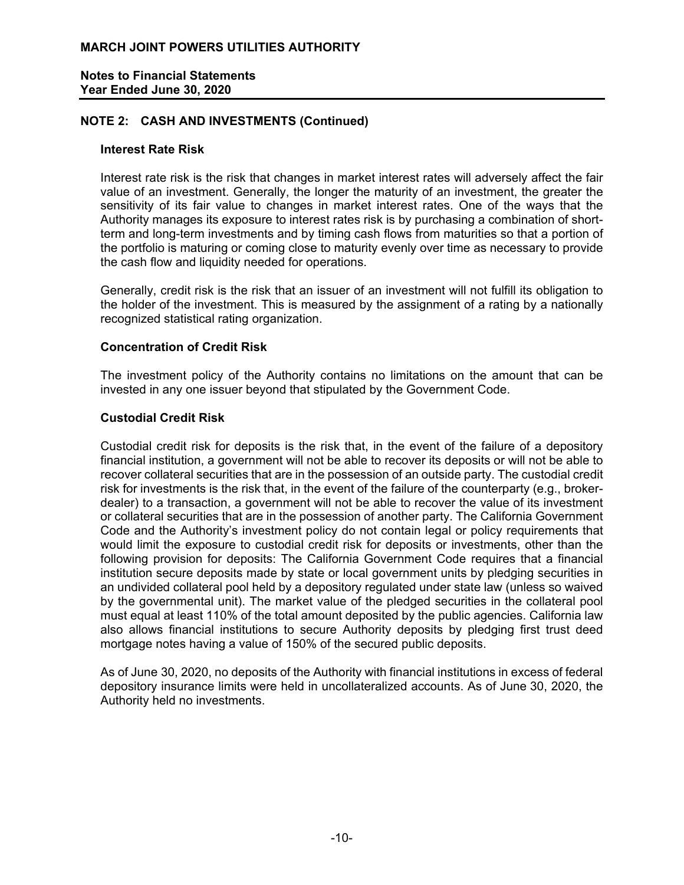#### **NOTE 2: CASH AND INVESTMENTS (Continued)**

#### **Interest Rate Risk**

Interest rate risk is the risk that changes in market interest rates will adversely affect the fair value of an investment. Generally, the longer the maturity of an investment, the greater the sensitivity of its fair value to changes in market interest rates. One of the ways that the Authority manages its exposure to interest rates risk is by purchasing a combination of shortterm and long-term investments and by timing cash flows from maturities so that a portion of the portfolio is maturing or coming close to maturity evenly over time as necessary to provide the cash flow and liquidity needed for operations.

Generally, credit risk is the risk that an issuer of an investment will not fulfill its obligation to the holder of the investment. This is measured by the assignment of a rating by a nationally recognized statistical rating organization.

#### **Concentration of Credit Risk**

The investment policy of the Authority contains no limitations on the amount that can be invested in any one issuer beyond that stipulated by the Government Code.

### **Custodial Credit Risk**

Custodial credit risk for deposits is the risk that, in the event of the failure of a depository financial institution, a government will not be able to recover its deposits or will not be able to recover collateral securities that are in the possession of an outside party. The custodial credit risk for investments is the risk that, in the event of the failure of the counterparty (e.g., brokerdealer) to a transaction, a government will not be able to recover the value of its investment or collateral securities that are in the possession of another party. The California Government Code and the Authority's investment policy do not contain legal or policy requirements that would limit the exposure to custodial credit risk for deposits or investments, other than the following provision for deposits: The California Government Code requires that a financial institution secure deposits made by state or local government units by pledging securities in an undivided collateral pool held by a depository regulated under state law (unless so waived by the governmental unit). The market value of the pledged securities in the collateral pool must equal at least 110% of the total amount deposited by the public agencies. California law also allows financial institutions to secure Authority deposits by pledging first trust deed mortgage notes having a value of 150% of the secured public deposits.

As of June 30, 2020, no deposits of the Authority with financial institutions in excess of federal depository insurance limits were held in uncollateralized accounts. As of June 30, 2020, the Authority held no investments.